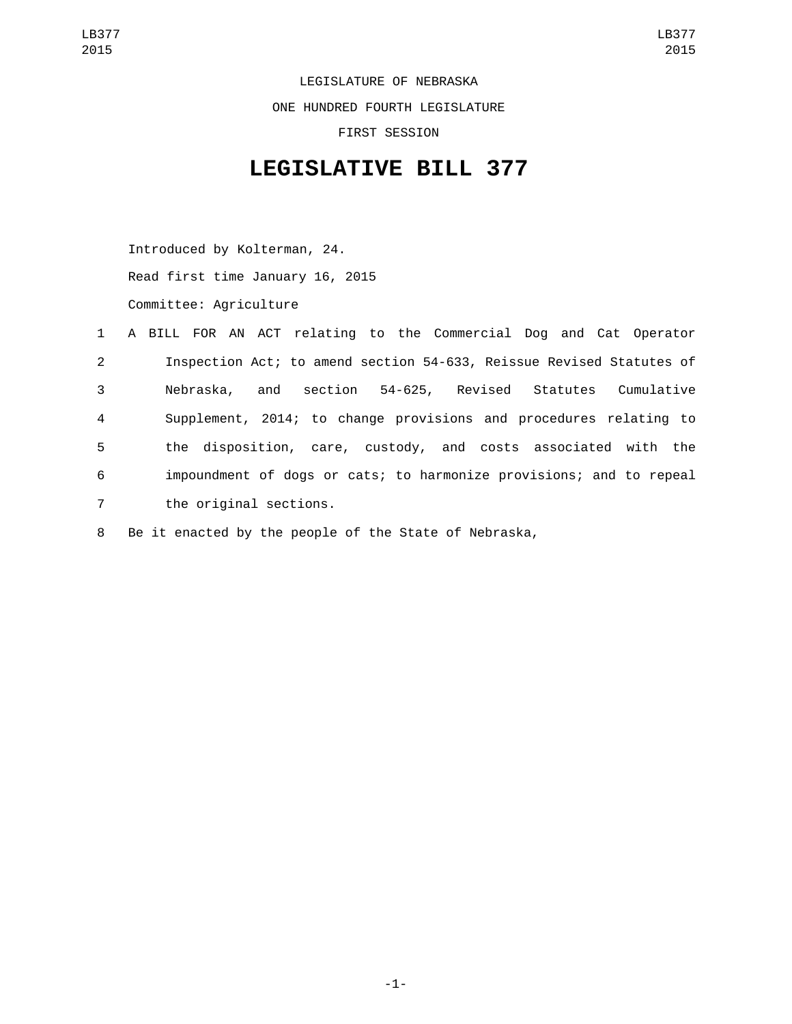LEGISLATURE OF NEBRASKA ONE HUNDRED FOURTH LEGISLATURE FIRST SESSION

## **LEGISLATIVE BILL 377**

Introduced by Kolterman, 24. Read first time January 16, 2015 Committee: Agriculture

|                | 1 A BILL FOR AN ACT relating to the Commercial Dog and Cat Operator  |
|----------------|----------------------------------------------------------------------|
| $\overline{2}$ | Inspection Act; to amend section 54-633, Reissue Revised Statutes of |
| 3              | Nebraska, and section 54-625, Revised Statutes Cumulative            |
| 4              | Supplement, 2014; to change provisions and procedures relating to    |
| 5              | the disposition, care, custody, and costs associated with the        |
| 6              | impoundment of dogs or cats; to harmonize provisions; and to repeal  |
| $\overline{7}$ | the original sections.                                               |

8 Be it enacted by the people of the State of Nebraska,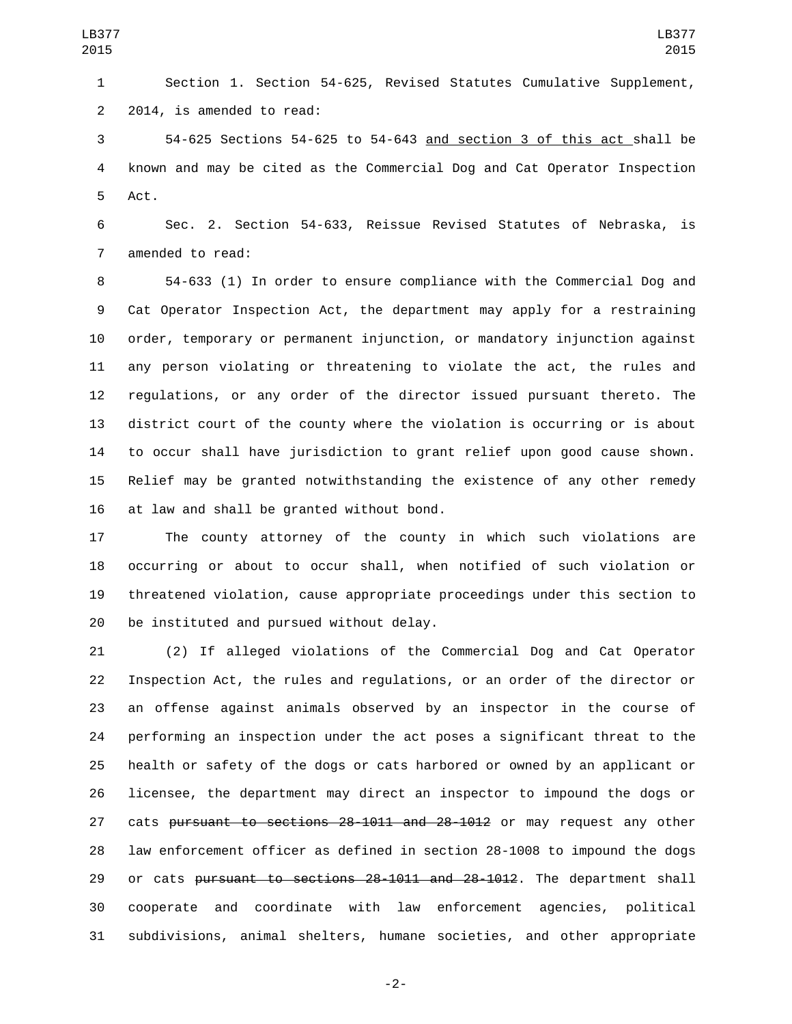Section 1. Section 54-625, Revised Statutes Cumulative Supplement, 2 2014, is amended to read:

 54-625 Sections 54-625 to 54-643 and section 3 of this act shall be known and may be cited as the Commercial Dog and Cat Operator Inspection 5 Act.

 Sec. 2. Section 54-633, Reissue Revised Statutes of Nebraska, is 7 amended to read:

 54-633 (1) In order to ensure compliance with the Commercial Dog and Cat Operator Inspection Act, the department may apply for a restraining order, temporary or permanent injunction, or mandatory injunction against any person violating or threatening to violate the act, the rules and regulations, or any order of the director issued pursuant thereto. The district court of the county where the violation is occurring or is about to occur shall have jurisdiction to grant relief upon good cause shown. Relief may be granted notwithstanding the existence of any other remedy 16 at law and shall be granted without bond.

 The county attorney of the county in which such violations are occurring or about to occur shall, when notified of such violation or threatened violation, cause appropriate proceedings under this section to 20 be instituted and pursued without delay.

 (2) If alleged violations of the Commercial Dog and Cat Operator Inspection Act, the rules and regulations, or an order of the director or an offense against animals observed by an inspector in the course of performing an inspection under the act poses a significant threat to the health or safety of the dogs or cats harbored or owned by an applicant or licensee, the department may direct an inspector to impound the dogs or 27 cats pursuant to sections 28-1011 and 28-1012 or may request any other law enforcement officer as defined in section 28-1008 to impound the dogs 29 or cats pursuant to sections 28-1011 and 28-1012. The department shall cooperate and coordinate with law enforcement agencies, political subdivisions, animal shelters, humane societies, and other appropriate

-2-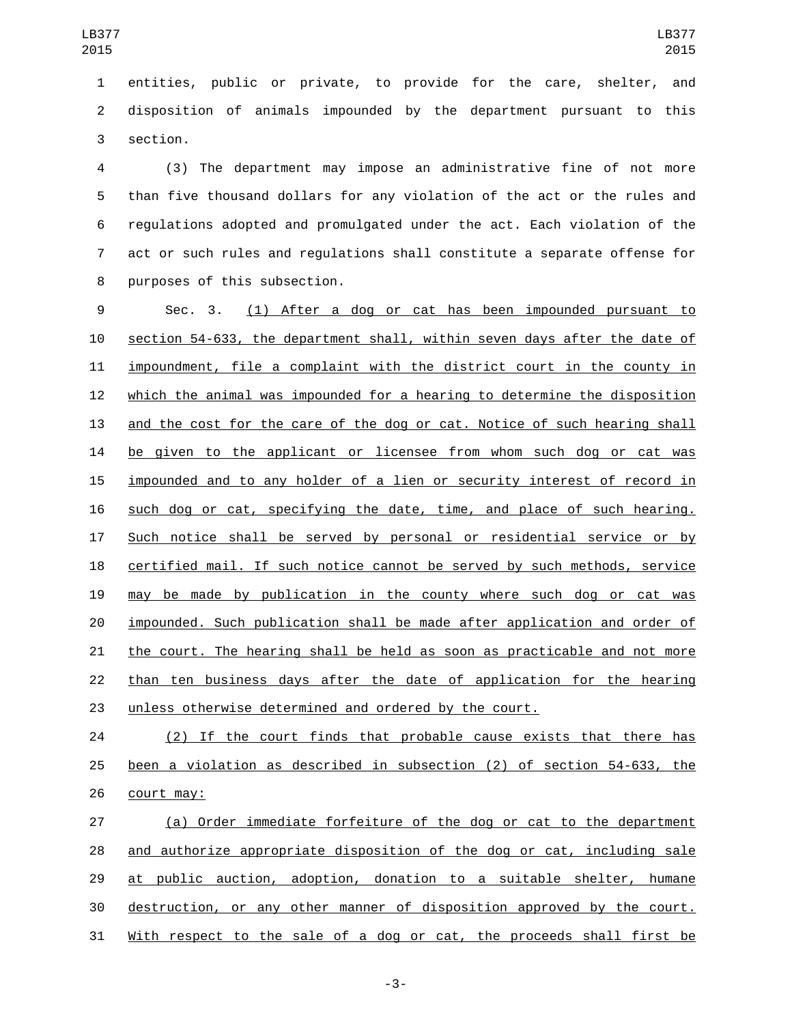entities, public or private, to provide for the care, shelter, and disposition of animals impounded by the department pursuant to this 3 section.

 (3) The department may impose an administrative fine of not more than five thousand dollars for any violation of the act or the rules and regulations adopted and promulgated under the act. Each violation of the act or such rules and regulations shall constitute a separate offense for 8 purposes of this subsection.

 Sec. 3. (1) After a dog or cat has been impounded pursuant to section 54-633, the department shall, within seven days after the date of impoundment, file a complaint with the district court in the county in which the animal was impounded for a hearing to determine the disposition and the cost for the care of the dog or cat. Notice of such hearing shall be given to the applicant or licensee from whom such dog or cat was impounded and to any holder of a lien or security interest of record in such dog or cat, specifying the date, time, and place of such hearing. Such notice shall be served by personal or residential service or by certified mail. If such notice cannot be served by such methods, service may be made by publication in the county where such dog or cat was impounded. Such publication shall be made after application and order of the court. The hearing shall be held as soon as practicable and not more than ten business days after the date of application for the hearing unless otherwise determined and ordered by the court.

 (2) If the court finds that probable cause exists that there has been a violation as described in subsection (2) of section 54-633, the 26 court may:

 (a) Order immediate forfeiture of the dog or cat to the department 28 and authorize appropriate disposition of the dog or cat, including sale 29 at public auction, adoption, donation to a suitable shelter, humane destruction, or any other manner of disposition approved by the court. With respect to the sale of a dog or cat, the proceeds shall first be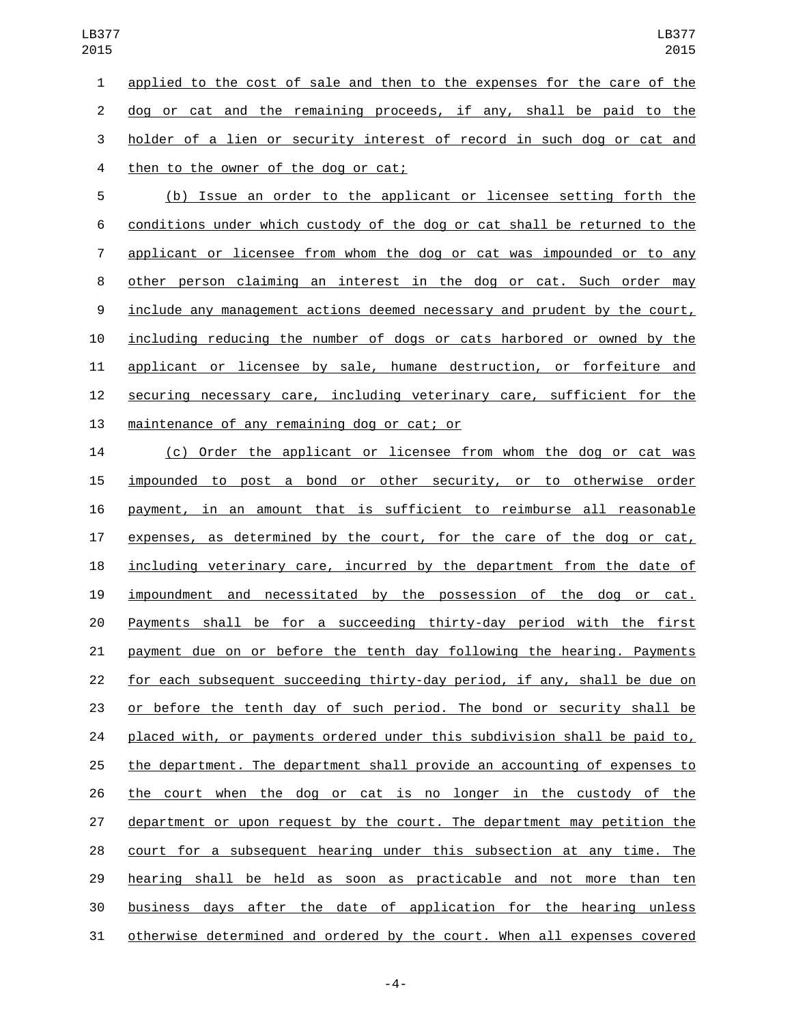applied to the cost of sale and then to the expenses for the care of the dog or cat and the remaining proceeds, if any, shall be paid to the holder of a lien or security interest of record in such dog or cat and 4 then to the owner of the dog or cat;

 (b) Issue an order to the applicant or licensee setting forth the conditions under which custody of the dog or cat shall be returned to the applicant or licensee from whom the dog or cat was impounded or to any other person claiming an interest in the dog or cat. Such order may include any management actions deemed necessary and prudent by the court, including reducing the number of dogs or cats harbored or owned by the applicant or licensee by sale, humane destruction, or forfeiture and securing necessary care, including veterinary care, sufficient for the 13 maintenance of any remaining dog or cat; or

 (c) Order the applicant or licensee from whom the dog or cat was impounded to post a bond or other security, or to otherwise order payment, in an amount that is sufficient to reimburse all reasonable 17 expenses, as determined by the court, for the care of the dog or cat, including veterinary care, incurred by the department from the date of impoundment and necessitated by the possession of the dog or cat. Payments shall be for a succeeding thirty-day period with the first payment due on or before the tenth day following the hearing. Payments for each subsequent succeeding thirty-day period, if any, shall be due on or before the tenth day of such period. The bond or security shall be placed with, or payments ordered under this subdivision shall be paid to, the department. The department shall provide an accounting of expenses to the court when the dog or cat is no longer in the custody of the department or upon request by the court. The department may petition the court for a subsequent hearing under this subsection at any time. The hearing shall be held as soon as practicable and not more than ten business days after the date of application for the hearing unless otherwise determined and ordered by the court. When all expenses covered